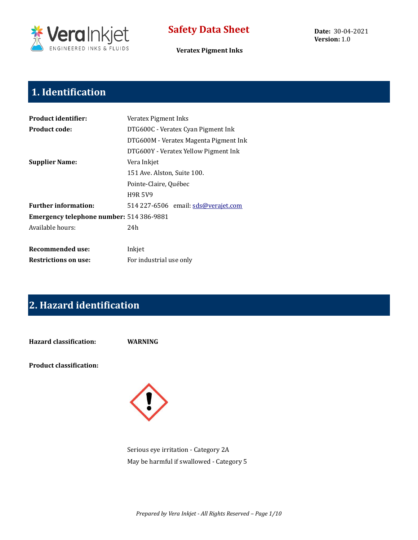

**Veratex Pigment Inks**

**Date:** 30-04-2021 **Version:** 1.0

## **1. Identification**

| <b>Product identifier:</b>                      | Veratex Pigment Inks                  |  |  |  |  |
|-------------------------------------------------|---------------------------------------|--|--|--|--|
| <b>Product code:</b>                            | DTG600C - Veratex Cyan Pigment Ink    |  |  |  |  |
|                                                 | DTG600M - Veratex Magenta Pigment Ink |  |  |  |  |
|                                                 | DTG600Y - Veratex Yellow Pigment Ink  |  |  |  |  |
| <b>Supplier Name:</b>                           | Vera Inkjet                           |  |  |  |  |
|                                                 | 151 Ave. Alston, Suite 100.           |  |  |  |  |
|                                                 | Pointe-Claire, Québec                 |  |  |  |  |
|                                                 | <b>H9R 5V9</b>                        |  |  |  |  |
| <b>Further information:</b>                     | 514 227-6506 email: sds@verajet.com   |  |  |  |  |
| <b>Emergency telephone number: 514 386-9881</b> |                                       |  |  |  |  |
| Available hours:                                | 24h                                   |  |  |  |  |
|                                                 |                                       |  |  |  |  |
| Recommended use:                                | Inkjet                                |  |  |  |  |
| <b>Restrictions on use:</b>                     | For industrial use only               |  |  |  |  |

## **2. Hazard identification**

**Hazard classification: WARNING**

**Product classification:**



Serious eye irritation - Category 2A May be harmful if swallowed - Category 5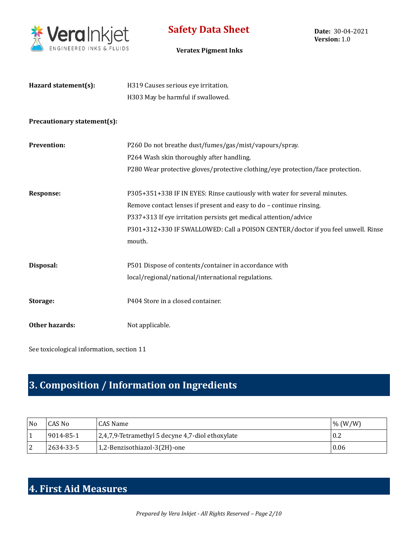

| Hazard statement(s): | H319 Causes serious eye irritation. |  |  |
|----------------------|-------------------------------------|--|--|
|                      | H303 May be harmful if swallowed.   |  |  |

#### **Precautionary statement(s):**

| <b>Prevention:</b> | P260 Do not breathe dust/fumes/gas/mist/vapours/spray.                           |
|--------------------|----------------------------------------------------------------------------------|
|                    | P264 Wash skin thoroughly after handling.                                        |
|                    | P280 Wear protective gloves/protective clothing/eye protection/face protection.  |
| <b>Response:</b>   | P305+351+338 IF IN EYES: Rinse cautiously with water for several minutes.        |
|                    | Remove contact lenses if present and easy to do - continue rinsing.              |
|                    | P337+313 If eye irritation persists get medical attention/advice                 |
|                    | P301+312+330 IF SWALLOWED: Call a POISON CENTER/doctor if you feel unwell. Rinse |
|                    | mouth.                                                                           |
| Disposal:          | P501 Dispose of contents/container in accordance with                            |
|                    | local/regional/national/international regulations.                               |
| Storage:           | P404 Store in a closed container.                                                |
| Other hazards:     | Not applicable.                                                                  |

See toxicological information, section 11

## **3. Composition / Information on Ingredients**

| No  | CAS No           | CAS Name                                         | % (W/W) |
|-----|------------------|--------------------------------------------------|---------|
|     | $19014 - 85 - 1$ | 2,4,7,9-Tetramethyl 5 decyne 4,7-diol ethoxylate | 0.2     |
| ר ו | 2634-33-5        | 1,2-Benzisothiazol-3(2H)-one                     | 0.06    |

# **4. First Aid Measures**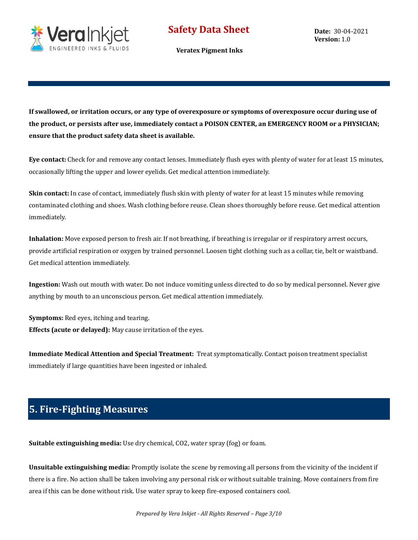

**If swallowed, or irritation occurs, or any type of overexposure or symptoms of overexposure occur during use of the product, or persists after use, immediately contact a POISON CENTER, an EMERGENCY ROOM or a PHYSICIAN; ensure that the product safety data sheet is available.**

**Eye contact:** Check for and remove any contact lenses. Immediately flush eyes with plenty of water for at least 15 minutes, occasionally lifting the upper and lower eyelids. Get medical attention immediately.

**Skin contact:** In case of contact, immediately flush skin with plenty of water for at least 15 minutes while removing contaminated clothing and shoes. Wash clothing before reuse. Clean shoes thoroughly before reuse. Get medical attention immediately.

**Inhalation:** Move exposed person to fresh air. If not breathing, if breathing is irregular or if respiratory arrest occurs, provide artificial respiration or oxygen by trained personnel. Loosen tight clothing such as a collar, tie, belt or waistband. Get medical attention immediately.

**Ingestion:** Wash out mouth with water. Do not induce vomiting unless directed to do so by medical personnel. Never give anything by mouth to an unconscious person. Get medical attention immediately.

**Symptoms:** Red eyes, itching and tearing. **Effects (acute or delayed):** May cause irritation of the eyes.

**Immediate Medical Attention and Special Treatment:** Treat symptomatically. Contact poison treatment specialist immediately if large quantities have been ingested or inhaled.

## **5. Fire-Fighting Measures**

**Suitable extinguishing media:** Use dry chemical, CO2, water spray (fog) or foam.

**Unsuitable extinguishing media:** Promptly isolate the scene by removing all persons from the vicinity of the incident if there is a fire. No action shall be taken involving any personal risk or without suitable training. Move containers from fire area if this can be done without risk. Use water spray to keep fire-exposed containers cool.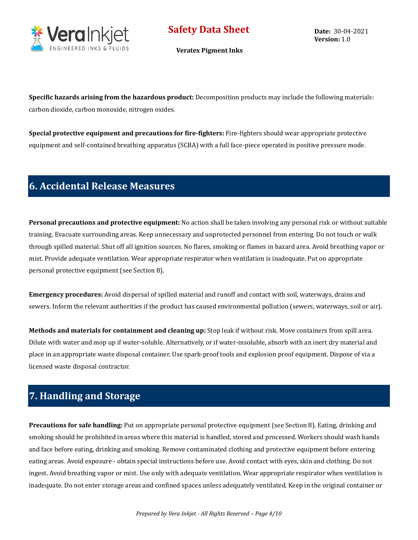

**Veratex Pigment Inks**

**Date:** 30-04-2021 **Version:** 1.0

**Specific hazards arising from the hazardous product:** Decomposition products may include the following materials: carbon dioxide, carbon monoxide, nitrogen oxides.

**Special protective equipment and precautions for fire-fighters:** Fire-fighters should wear appropriate protective equipment and self-contained breathing apparatus (SCBA) with a full face-piece operated in positive pressure mode.

## **6. Accidental Release Measures**

**Personal precautions and protective equipment:** No action shall be taken involving any personal risk or without suitable training. Evacuate surrounding areas. Keep unnecessary and unprotected personnel from entering. Do not touch or walk through spilled material. Shut off all ignition sources. No flares, smoking or flames in hazard area. Avoid breathing vapor or mist. Provide adequate ventilation. Wear appropriate respirator when ventilation is inadequate. Put on appropriate personal protective equipment (see Section 8).

**Emergency procedures:** Avoid dispersal of spilled material and runoff and contact with soil, waterways, drains and sewers. Inform the relevant authorities if the product has caused environmental pollution (sewers, waterways, soil or air).

**Methods and materials for containment and cleaning up:** Stop leak if without risk. Move containers from spill area. Dilute with water and mop up if water-soluble. Alternatively, or if water-insoluble, absorb with an inert dry material and place in an appropriate waste disposal container. Use spark-proof tools and explosion proof equipment. Dispose of via a licensed waste disposal contractor.

## **7. Handling and Storage**

**Precautions for safe handling:** Put on appropriate personal protective equipment (see Section 8). Eating, drinking and smoking should be prohibited in areas where this material is handled, stored and processed. Workers should wash hands and face before eating, drinking and smoking. Remove contaminated clothing and protective equipment before entering eating areas. Avoid exposure - obtain special instructions before use. Avoid contact with eyes, skin and clothing. Do not ingest. Avoid breathing vapor or mist. Use only with adequate ventilation. Wear appropriate respirator when ventilation is inadequate. Do not enter storage areas and confined spaces unless adequately ventilated. Keep in the original container or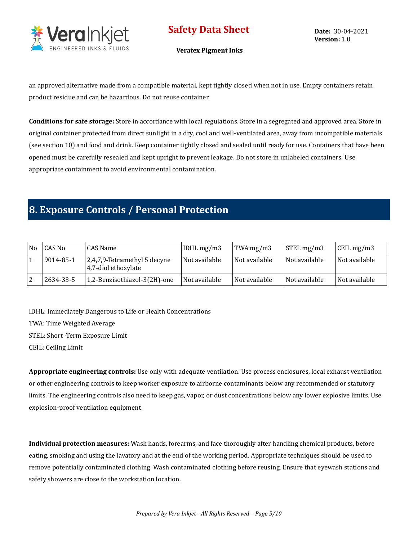

**Date:** 30-04-2021 **Version:** 1.0

**Veratex Pigment Inks**

an approved alternative made from a compatible material, kept tightly closed when not in use. Empty containers retain product residue and can be hazardous. Do not reuse container.

**Conditions for safe storage:** Store in accordance with local regulations. Store in a segregated and approved area. Store in original container protected from direct sunlight in a dry, cool and well-ventilated area, away from incompatible materials (see section 10) and food and drink. Keep container tightly closed and sealed until ready for use. Containers that have been opened must be carefully resealed and kept upright to prevent leakage. Do not store in unlabeled containers. Use appropriate containment to avoid environmental contamination.

## **8. Exposure Controls / Personal Protection**

| N <sub>0</sub> | CAS No    | CAS Name                                            | IDHL $mg/m3$  | TWA mg/m3     | $\vert$ STEL mg/m3 | $\mathsf{CEIL}$ mg/m3 |
|----------------|-----------|-----------------------------------------------------|---------------|---------------|--------------------|-----------------------|
|                | 9014-85-1 | 2,4,7,9-Tetramethyl 5 decyne<br>4,7-diol ethoxylate | Not available | Not available | Not available      | Not available         |
|                | 2634-33-5 | 1,2-Benzisothiazol-3(2H)-one                        | Not available | Not available | Not available      | Not available         |

IDHL: Immediately Dangerous to Life or Health Concentrations

TWA: Time Weighted Average

STEL: Short -Term Exposure Limit

CEIL: Ceiling Limit

**Appropriate engineering controls:** Use only with adequate ventilation. Use process enclosures, local exhaust ventilation or other engineering controls to keep worker exposure to airborne contaminants below any recommended or statutory limits. The engineering controls also need to keep gas, vapor, or dust concentrations below any lower explosive limits. Use explosion-proof ventilation equipment.

**Individual protection measures:** Wash hands, forearms, and face thoroughly after handling chemical products, before eating, smoking and using the lavatory and at the end of the working period. Appropriate techniques should be used to remove potentially contaminated clothing. Wash contaminated clothing before reusing. Ensure that eyewash stations and safety showers are close to the workstation location.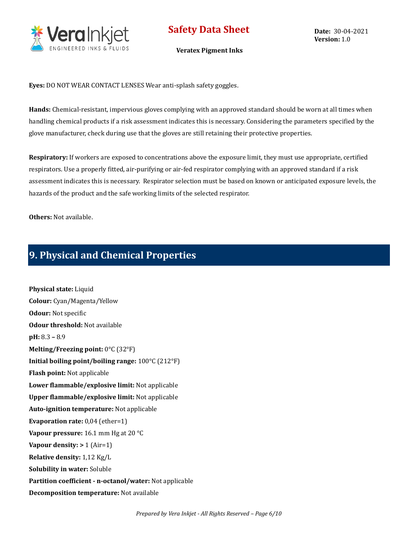

**Date:** 30-04-2021 **Version:** 1.0

**Veratex Pigment Inks**

**Eyes:** DO NOT WEAR CONTACT LENSES Wear anti-splash safety goggles.

**Hands:** Chemical-resistant, impervious gloves complying with an approved standard should be worn at all times when handling chemical products if a risk assessment indicates this is necessary. Considering the parameters specified by the glove manufacturer, check during use that the gloves are still retaining their protective properties.

**Respiratory:** If workers are exposed to concentrations above the exposure limit, they must use appropriate, certified respirators. Use a properly fitted, air-purifying or air-fed respirator complying with an approved standard if a risk assessment indicates this is necessary. Respirator selection must be based on known or anticipated exposure levels, the hazards of the product and the safe working limits of the selected respirator.

**Others:** Not available.

## **9. Physical and Chemical Properties**

**Physical state:** Liquid **Colour:** Cyan/Magenta/Yellow **Odour:** Not specific **Odour threshold:** Not available **pH:** 8.3 **–** 8.9 **Melting/Freezing point:** 0°C (32°F) **Initial boiling point/boiling range:** 100°C (212°F) **Flash point:** Not applicable **Lower flammable/explosive limit:** Not applicable **Upper flammable/explosive limit:** Not applicable **Auto-ignition temperature:** Not applicable **Evaporation rate:** 0,04 (ether=1) **Vapour pressure:** 16.1 mm Hg at 20 °C **Vapour density: >** 1 (Air=1) **Relative density:** 1,12 Kg/L **Solubility in water:** Soluble **Partition coefficient - n-octanol/water:** Not applicable **Decomposition temperature:** Not available

*Prepared by Vera Inkjet - All Rights Reserved – Page 6/10*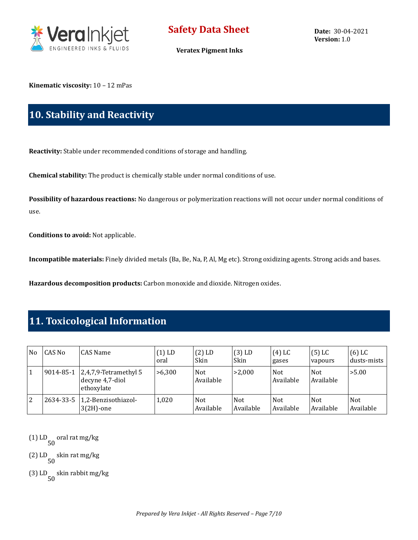

**Kinematic viscosity:** 10 – 12 mPas

## **10. Stability and Reactivity**

**Reactivity:** Stable under recommended conditions of storage and handling.

**Chemical stability:** The product is chemically stable under normal conditions of use.

**Possibility of hazardous reactions:** No dangerous or polymerization reactions will not occur under normal conditions of use.

**Conditions to avoid:** Not applicable.

**Incompatible materials:** Finely divided metals (Ba, Be, Na, P, Al, Mg etc). Strong oxidizing agents. Strong acids and bases.

**Hazardous decomposition products:** Carbon monoxide and dioxide. Nitrogen oxides.

### **11. Toxicological Information**

| No.            | CAS No    | CAS Name                                                  | $(1)$ LD<br>oral | $(2)$ LD<br>Skin        | $(3)$ LD<br>Skin        | $(4)$ LC<br>gases       | $(5)$ LC<br>vapours     | $(6)$ LC<br>dusts-mists |
|----------------|-----------|-----------------------------------------------------------|------------------|-------------------------|-------------------------|-------------------------|-------------------------|-------------------------|
| 1              | 9014-85-1 | $2,4,7,9$ -Tetramethyl 5<br>decyne 4,7-diol<br>ethoxylate | >6.300           | <b>Not</b><br>Available | >2.000                  | <b>Not</b><br>Available | <b>Not</b><br>Available | > 5.00                  |
| $\overline{2}$ | 2634-33-5 | 1,2-Benzisothiazol-<br>$3(2H)$ -one                       | 1.020            | <b>Not</b><br>Available | <b>Not</b><br>Available | <b>Not</b><br>Available | <b>Not</b><br>Available | <b>Not</b><br>Available |

(1) LD 50 oral rat mg/kg

(2) LD 50 skin rat mg/kg

(3) LD 50 skin rabbit mg/kg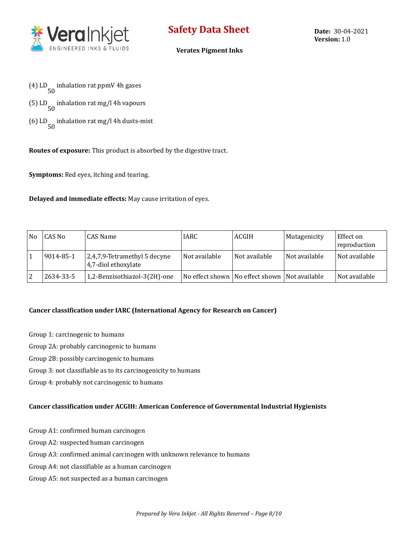

- (4) LD 50 inhalation rat ppmV 4h gases
- (5) LD 50 inhalation rat mg/l 4h vapours
- (6) LD 50 inhalation rat mg/l 4h dusts-mist

**Routes of exposure:** This product is absorbed by the digestive tract.

**Symptoms:** Red eyes, itching and tearing.

**Delayed and immediate effects:** May cause irritation of eyes.

| N <sub>0</sub> | CAS No    | CAS Name                                            | IARC.         | ACGIH                                             | Mutagenicity  | Effect on<br>reproduction |
|----------------|-----------|-----------------------------------------------------|---------------|---------------------------------------------------|---------------|---------------------------|
|                | 9014-85-1 | 2,4,7,9-Tetramethyl 5 decyne<br>4,7-diol ethoxylate | Not available | Not available                                     | Not available | Not available             |
|                | 2634-33-5 | 1,2-Benzisothiazol-3(2H)-one                        |               | No effect shown   No effect shown   Not available |               | Not available             |

#### **Cancer classification under IARC (International Agency for Research on Cancer)**

Group 1: carcinogenic to humans Group 2A: probably carcinogenic to humans Group 2B: possibly carcinogenic to humans Group 3: not classifiable as to its carcinogenicity to humans Group 4: probably not carcinogenic to humans

#### **Cancer classification under ACGIH: American Conference of Governmental Industrial Hygienists**

- Group A1: confirmed human carcinogen
- Group A2: suspected human carcinogen
- Group A3: confirmed animal carcinogen with unknown relevance to humans
- Group A4: not classifiable as a human carcinogen
- Group A5: not suspected as a human carcinogen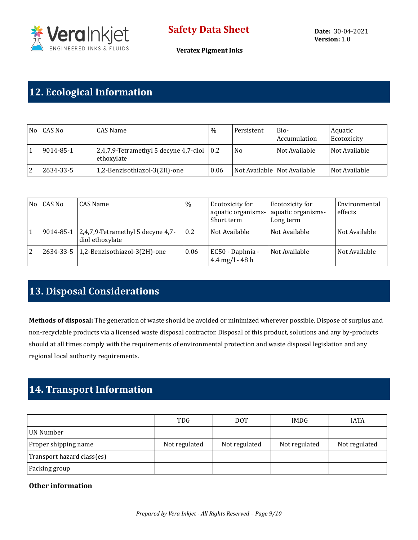

**Veratex Pigment Inks**

## **12. Ecological Information**

| No CAS No | CAS Name                                                                         | $\%$ | Persistent                    | Bio-<br>Accumulation | Aquatic<br>Ecotoxicity |
|-----------|----------------------------------------------------------------------------------|------|-------------------------------|----------------------|------------------------|
| 9014-85-1 | $\vert 2,4,7,9$ -Tetramethyl 5 decyne 4,7-diol $\vert 0.2 \rangle$<br>ethoxylate |      | N <sub>0</sub>                | Not Available        | Not Available          |
| 2634-33-5 | 1,2-Benzisothiazol-3(2H)-one                                                     | 0.06 | Not Available   Not Available |                      | Not Available          |

| No             | CAS No    | CAS Name                                             | $\%$          | Ecotoxicity for<br>aquatic organisms-<br>Short term   | Ecotoxicity for<br>aquatic organisms-<br>Long term | Environmental<br>effects |
|----------------|-----------|------------------------------------------------------|---------------|-------------------------------------------------------|----------------------------------------------------|--------------------------|
| $\mathbf{1}$   | 9014-85-1 | 2,4,7,9-Tetramethyl 5 decyne 4,7-<br>diol ethoxylate | $0.2^{\circ}$ | Not Available                                         | Not Available                                      | Not Available            |
| $\overline{2}$ |           | 2634-33-5   1,2-Benzisothiazol-3(2H)-one             | 0.06          | EC50 - Daphnia -<br>$4.4 \text{ mg}/l - 48 \text{ h}$ | Not Available                                      | Not Available            |

## **13. Disposal Considerations**

**Methods of disposal:** The generation of waste should be avoided or minimized wherever possible. Dispose of surplus and non-recyclable products via a licensed waste disposal contractor. Disposal of this product, solutions and any by-products should at all times comply with the requirements of environmental protection and waste disposal legislation and any regional local authority requirements.

## **14. Transport Information**

|                            | <b>TDG</b>    | <b>DOT</b>    | <b>IMDG</b>   | <b>IATA</b>   |
|----------------------------|---------------|---------------|---------------|---------------|
| UN Number                  |               |               |               |               |
| Proper shipping name       | Not regulated | Not regulated | Not regulated | Not regulated |
| Transport hazard class(es) |               |               |               |               |
| Packing group              |               |               |               |               |

#### **Other information**